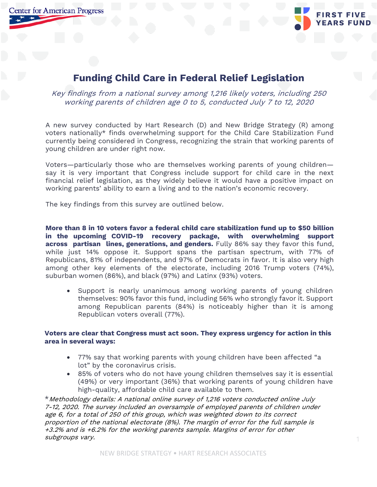**Center for American Progress** 

## **Funding Child Care in Federal Relief Legislation**

Key findings from a national survey among 1,216 likely voters, including 250 working parents of children age 0 to 5, conducted July 7 to 12, 2020

A new survey conducted by Hart Research (D) and New Bridge Strategy (R) among voters nationally\* finds overwhelming support for the Child Care Stabilization Fund currently being considered in Congress, recognizing the strain that working parents of young children are under right now.

Voters—particularly those who are themselves working parents of young children say it is very important that Congress include support for child care in the next financial relief legislation, as they widely believe it would have a positive impact on working parents' ability to earn a living and to the nation's economic recovery.

The key findings from this survey are outlined below.

**More than 8 in 10 voters favor a federal child care stabilization fund up to \$50 billion in the upcoming COVID-19 recovery package, with overwhelming support across partisan lines, generations, and genders.** Fully 86% say they favor this fund, while just 14% oppose it. Support spans the partisan spectrum, with 77% of Republicans, 81% of independents, and 97% of Democrats in favor. It is also very high among other key elements of the electorate, including 2016 Trump voters (74%), suburban women (86%), and black (97%) and Latinx (93%) voters.

Support is nearly unanimous among working parents of young children themselves: 90% favor this fund, including 56% who strongly favor it. Support among Republican parents (84%) is noticeably higher than it is among Republican voters overall (77%).

## **Voters are clear that Congress must act soon. They express urgency for action in this area in several ways:**

- 77% say that working parents with young children have been affected "a lot" by the coronavirus crisis.
- 85% of voters who do not have young children themselves say it is essential (49%) or very important (36%) that working parents of young children have high-quality, affordable child care available to them.

\*Methodology details: A national online survey of 1,216 voters conducted online July 7-12, 2020. The survey included an oversample of employed parents of children under age 6, for a total of 250 of this group, which was weighted down to its correct proportion of the national electorate (8%). The margin of error for the full sample is +3.2% and is +6.2% for the working parents sample. Margins of error for other subgroups vary.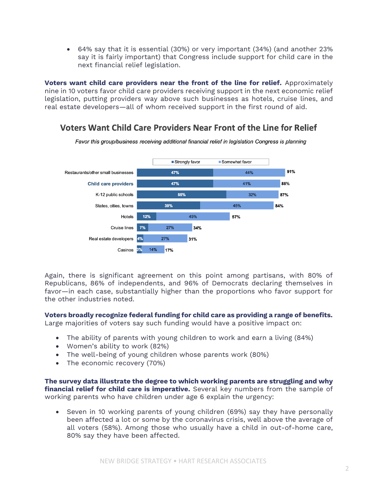• 64% say that it is essential (30%) or very important (34%) (and another 23% say it is fairly important) that Congress include support for child care in the next financial relief legislation.

**Voters want child care providers near the front of the line for relief.** Approximately nine in 10 voters favor child care providers receiving support in the next economic relief legislation, putting providers way above such businesses as hotels, cruise lines, and real estate developers—all of whom received support in the first round of aid.

## Voters Want Child Care Providers Near Front of the Line for Relief



Favor this group/business receiving additional financial relief in legislation Congress is planning

Again, there is significant agreement on this point among partisans, with 80% of Republicans, 86% of independents, and 96% of Democrats declaring themselves in favor—in each case, substantially higher than the proportions who favor support for the other industries noted.

## **Voters broadly recognize federal funding for child care as providing a range of benefits.**

Large majorities of voters say such funding would have a positive impact on:

- The ability of parents with young children to work and earn a living (84%)
- Women's ability to work (82%)
- The well-being of young children whose parents work (80%)
- The economic recovery (70%)

**The survey data illustrate the degree to which working parents are struggling and why financial relief for child care is imperative.** Several key numbers from the sample of working parents who have children under age 6 explain the urgency:

• Seven in 10 working parents of young children (69%) say they have personally been affected a lot or some by the coronavirus crisis, well above the average of all voters (58%). Among those who usually have a child in out-of-home care, 80% say they have been affected.